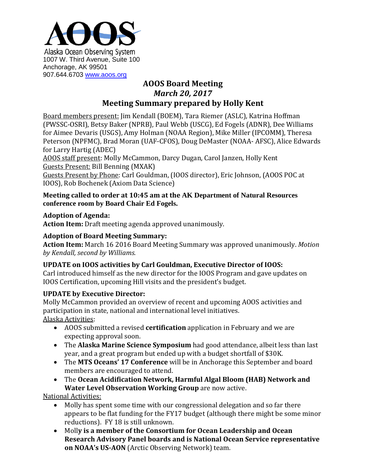

# **AOOS Board Meeting** *March 20, 2017* **Meeting Summary prepared by Holly Kent**

Board members present: Jim Kendall (BOEM), Tara Riemer (ASLC), Katrina Hoffman (PWSSC-OSRI), Betsy Baker (NPRB), Paul Webb (USCG), Ed Fogels (ADNR), Dee Williams for Aimee Devaris (USGS), Amy Holman (NOAA Region), Mike Miller (IPCOMM), Theresa Peterson (NPFMC), Brad Moran (UAF-CFOS), Doug DeMaster (NOAA- AFSC), Alice Edwards for Larry Hartig (ADEC)

AOOS staff present: Molly McCammon, Darcy Dugan, Carol Janzen, Holly Kent Guests Present: Bill Benning (MXAK)

Guests Present by Phone: Carl Gouldman, (IOOS director), Eric Johnson, (AOOS POC at IOOS), Rob Bochenek (Axiom Data Science)

### **Meeting called to order at 10:45 am at the AK Department of Natural Resources conference room by Board Chair Ed Fogels.**

### **Adoption of Agenda:**

**Action Item:** Draft meeting agenda approved unanimously.

# **Adoption of Board Meeting Summary:**

**Action Item:** March 16 2016 Board Meeting Summary was approved unanimously. *Motion by Kendall, second by Williams.*

# **UPDATE on IOOS activities by Carl Gouldman, Executive Director of IOOS:**

Carl introduced himself as the new director for the IOOS Program and gave updates on IOOS Certification, upcoming Hill visits and the president's budget.

# **UPDATE by Executive Director:**

Molly McCammon provided an overview of recent and upcoming AOOS activities and participation in state, national and international level initiatives. Alaska Activities:

- AOOS submitted a revised **certification** application in February and we are expecting approval soon.
- The **Alaska Marine Science Symposium** had good attendance, albeit less than last year, and a great program but ended up with a budget shortfall of \$30K.
- The **MTS Oceans' 17 Conference** will be in Anchorage this September and board members are encouraged to attend.
- The **Ocean Acidification Network, Harmful Algal Bloom (HAB) Network and Water Level Observation Working Group** are now active.

National Activities:

- Molly has spent some time with our congressional delegation and so far there appears to be flat funding for the FY17 budget (although there might be some minor reductions). FY 18 is still unknown.
- Moll**y is a member of the Consortium for Ocean Leadership and Ocean Research Advisory Panel boards and is National Ocean Service representative on NOAA's US-AON** (Arctic Observing Network) team.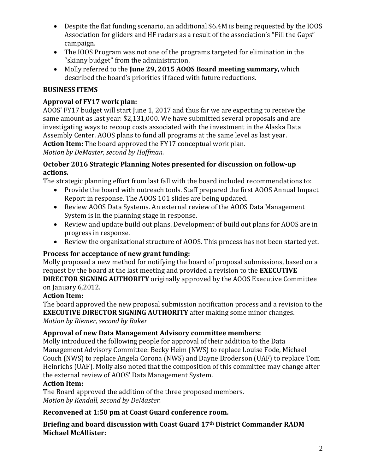- Despite the flat funding scenario, an additional \$6.4M is being requested by the IOOS Association for gliders and HF radars as a result of the association's "Fill the Gaps" campaign.
- The IOOS Program was not one of the programs targeted for elimination in the "skinny budget" from the administration.
- Molly referred to the **June 29, 2015 AOOS Board meeting summary,** which described the board's priorities if faced with future reductions.

## **BUSINESS ITEMS**

## **Approval of FY17 work plan:**

AOOS' FY17 budget will start June 1, 2017 and thus far we are expecting to receive the same amount as last year: \$2,131,000. We have submitted several proposals and are investigating ways to recoup costs associated with the investment in the Alaska Data Assembly Center. AOOS plans to fund all programs at the same level as last year. **Action Item:** The board approved the FY17 conceptual work plan. *Motion by DeMaster, second by Hoffman.*

### **October 2016 Strategic Planning Notes presented for discussion on follow-up actions.**

The strategic planning effort from last fall with the board included recommendations to:

- Provide the board with outreach tools. Staff prepared the first AOOS Annual Impact Report in response. The AOOS 101 slides are being updated.
- Review AOOS Data Systems. An external review of the AOOS Data Management System is in the planning stage in response.
- Review and update build out plans. Development of build out plans for AOOS are in progress in response.
- Review the organizational structure of AOOS. This process has not been started yet.

# **Process for acceptance of new grant funding:**

Molly proposed a new method for notifying the board of proposal submissions, based on a request by the board at the last meeting and provided a revision to the **EXECUTIVE DIRECTOR SIGNING AUTHORITY** originally approved by the AOOS Executive Committee on January 6,2012.

### **Action Item:**

The board approved the new proposal submission notification process and a revision to the **EXECUTIVE DIRECTOR SIGNING AUTHORITY** after making some minor changes. *Motion by Riemer, second by Baker*

### **Approval of new Data Management Advisory committee members:**

Molly introduced the following people for approval of their addition to the Data Management Advisory Committee: Becky Heim (NWS) to replace Louise Fode, Michael Couch (NWS) to replace Angela Corona (NWS) and Dayne Broderson (UAF) to replace Tom Heinrichs (UAF). Molly also noted that the composition of this committee may change after the external review of AOOS' Data Management System.

### **Action Item:**

The Board approved the addition of the three proposed members. *Motion by Kendall, second by DeMaster.*

### **Reconvened at 1:50 pm at Coast Guard conference room.**

**Briefing and board discussion with Coast Guard 17th District Commander RADM Michael McAllister:**